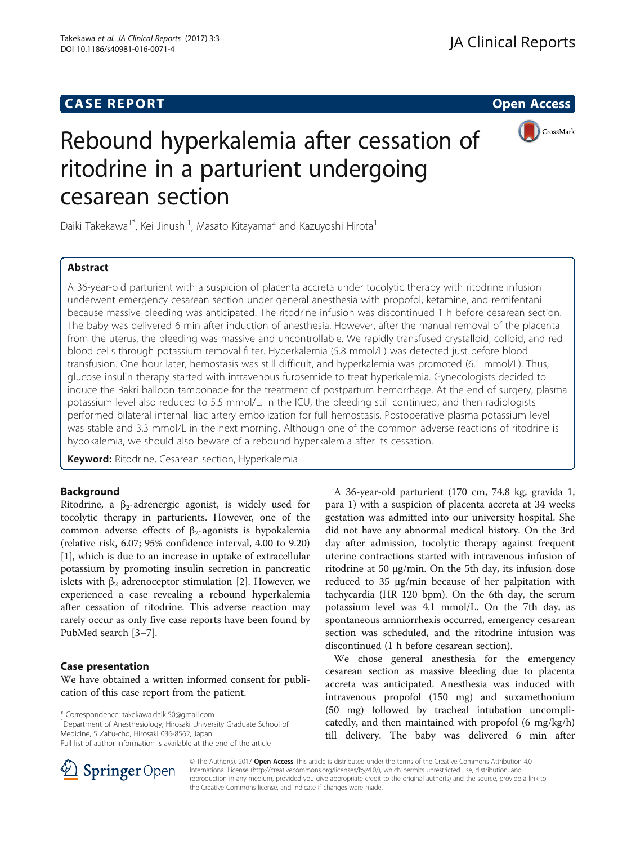## **CASE REPORT CASE REPORT CASE REPORT**



# Rebound hyperkalemia after cessation of ritodrine in a parturient undergoing cesarean section

Daiki Takekawa<sup>1\*</sup>, Kei Jinushi<sup>1</sup>, Masato Kitayama<sup>2</sup> and Kazuyoshi Hirota<sup>1</sup>

## Abstract

A 36-year-old parturient with a suspicion of placenta accreta under tocolytic therapy with ritodrine infusion underwent emergency cesarean section under general anesthesia with propofol, ketamine, and remifentanil because massive bleeding was anticipated. The ritodrine infusion was discontinued 1 h before cesarean section. The baby was delivered 6 min after induction of anesthesia. However, after the manual removal of the placenta from the uterus, the bleeding was massive and uncontrollable. We rapidly transfused crystalloid, colloid, and red blood cells through potassium removal filter. Hyperkalemia (5.8 mmol/L) was detected just before blood transfusion. One hour later, hemostasis was still difficult, and hyperkalemia was promoted (6.1 mmol/L). Thus, glucose insulin therapy started with intravenous furosemide to treat hyperkalemia. Gynecologists decided to induce the Bakri balloon tamponade for the treatment of postpartum hemorrhage. At the end of surgery, plasma potassium level also reduced to 5.5 mmol/L. In the ICU, the bleeding still continued, and then radiologists performed bilateral internal iliac artery embolization for full hemostasis. Postoperative plasma potassium level was stable and 3.3 mmol/L in the next morning. Although one of the common adverse reactions of ritodrine is hypokalemia, we should also beware of a rebound hyperkalemia after its cessation.

Keyword: Ritodrine, Cesarean section, Hyperkalemia

## Background

Ritodrine, a  $\beta_2$ -adrenergic agonist, is widely used for tocolytic therapy in parturients. However, one of the common adverse effects of  $β_2$ -agonists is hypokalemia (relative risk, 6.07; 95% confidence interval, 4.00 to 9.20) [[1\]](#page-2-0), which is due to an increase in uptake of extracellular potassium by promoting insulin secretion in pancreatic islets with  $β_2$  adrenoceptor stimulation [\[2](#page-2-0)]. However, we experienced a case revealing a rebound hyperkalemia after cessation of ritodrine. This adverse reaction may rarely occur as only five case reports have been found by PubMed search [\[3](#page-2-0)–[7](#page-2-0)].

## Case presentation

We have obtained a written informed consent for publication of this case report from the patient.

\* Correspondence: [takekawa.daiki50@gmail.com](mailto:takekawa.daiki50@gmail.com) <sup>1</sup>

<sup>1</sup>Department of Anesthesiology, Hirosaki University Graduate School of Medicine, 5 Zaifu-cho, Hirosaki 036-8562, Japan

A 36-year-old parturient (170 cm, 74.8 kg, gravida 1, para 1) with a suspicion of placenta accreta at 34 weeks gestation was admitted into our university hospital. She did not have any abnormal medical history. On the 3rd day after admission, tocolytic therapy against frequent uterine contractions started with intravenous infusion of ritodrine at 50 μg/min. On the 5th day, its infusion dose reduced to 35 μg/min because of her palpitation with tachycardia (HR 120 bpm). On the 6th day, the serum potassium level was 4.1 mmol/L. On the 7th day, as spontaneous amniorrhexis occurred, emergency cesarean section was scheduled, and the ritodrine infusion was discontinued (1 h before cesarean section).

We chose general anesthesia for the emergency cesarean section as massive bleeding due to placenta accreta was anticipated. Anesthesia was induced with intravenous propofol (150 mg) and suxamethonium (50 mg) followed by tracheal intubation uncomplicatedly, and then maintained with propofol (6 mg/kg/h) till delivery. The baby was delivered 6 min after



© The Author(s). 2017 **Open Access** This article is distributed under the terms of the Creative Commons Attribution 4.0 International License ([http://creativecommons.org/licenses/by/4.0/\)](http://creativecommons.org/licenses/by/4.0/), which permits unrestricted use, distribution, and reproduction in any medium, provided you give appropriate credit to the original author(s) and the source, provide a link to the Creative Commons license, and indicate if changes were made.

Full list of author information is available at the end of the article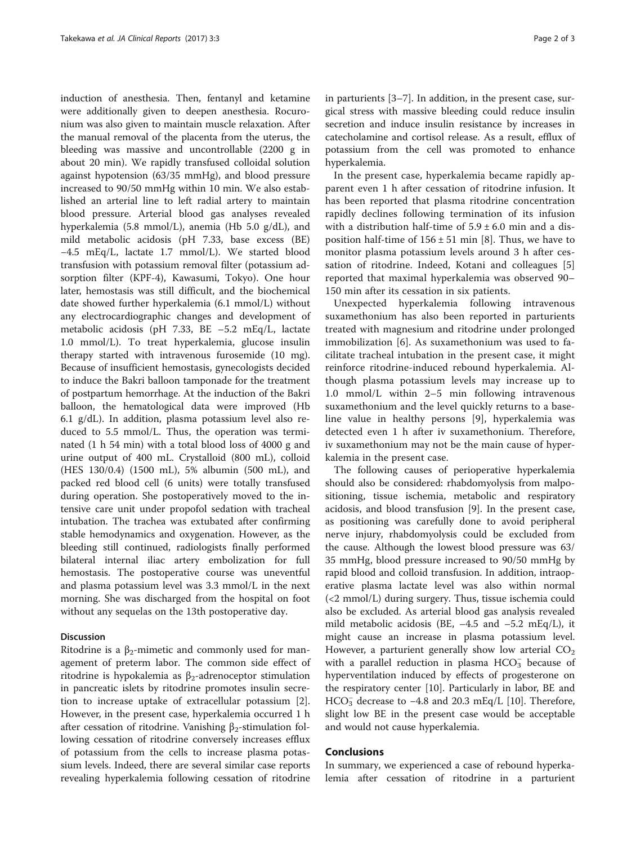induction of anesthesia. Then, fentanyl and ketamine were additionally given to deepen anesthesia. Rocuronium was also given to maintain muscle relaxation. After the manual removal of the placenta from the uterus, the bleeding was massive and uncontrollable (2200 g in about 20 min). We rapidly transfused colloidal solution against hypotension (63/35 mmHg), and blood pressure increased to 90/50 mmHg within 10 min. We also established an arterial line to left radial artery to maintain blood pressure. Arterial blood gas analyses revealed hyperkalemia (5.8 mmol/L), anemia (Hb 5.0 g/dL), and mild metabolic acidosis (pH 7.33, base excess (BE) −4.5 mEq/L, lactate 1.7 mmol/L). We started blood transfusion with potassium removal filter (potassium adsorption filter (KPF-4), Kawasumi, Tokyo). One hour later, hemostasis was still difficult, and the biochemical date showed further hyperkalemia (6.1 mmol/L) without any electrocardiographic changes and development of metabolic acidosis (pH 7.33, BE –5.2 mEq/L, lactate 1.0 mmol/L). To treat hyperkalemia, glucose insulin therapy started with intravenous furosemide (10 mg). Because of insufficient hemostasis, gynecologists decided to induce the Bakri balloon tamponade for the treatment of postpartum hemorrhage. At the induction of the Bakri balloon, the hematological data were improved (Hb 6.1 g/dL). In addition, plasma potassium level also reduced to 5.5 mmol/L. Thus, the operation was terminated (1 h 54 min) with a total blood loss of 4000 g and urine output of 400 mL. Crystalloid (800 mL), colloid (HES 130/0.4) (1500 mL), 5% albumin (500 mL), and packed red blood cell (6 units) were totally transfused during operation. She postoperatively moved to the intensive care unit under propofol sedation with tracheal intubation. The trachea was extubated after confirming stable hemodynamics and oxygenation. However, as the bleeding still continued, radiologists finally performed bilateral internal iliac artery embolization for full hemostasis. The postoperative course was uneventful and plasma potassium level was 3.3 mmol/L in the next morning. She was discharged from the hospital on foot without any sequelas on the 13th postoperative day.

### Discussion

Ritodrine is a  $\beta_2$ -mimetic and commonly used for management of preterm labor. The common side effect of ritodrine is hypokalemia as  $β_2$ -adrenoceptor stimulation in pancreatic islets by ritodrine promotes insulin secretion to increase uptake of extracellular potassium [\[2](#page-2-0)]. However, in the present case, hyperkalemia occurred 1 h after cessation of ritodrine. Vanishing  $β<sub>2</sub>$ -stimulation following cessation of ritodrine conversely increases efflux of potassium from the cells to increase plasma potassium levels. Indeed, there are several similar case reports revealing hyperkalemia following cessation of ritodrine

in parturients [[3](#page-2-0)–[7](#page-2-0)]. In addition, in the present case, surgical stress with massive bleeding could reduce insulin secretion and induce insulin resistance by increases in catecholamine and cortisol release. As a result, efflux of potassium from the cell was promoted to enhance hyperkalemia.

In the present case, hyperkalemia became rapidly apparent even 1 h after cessation of ritodrine infusion. It has been reported that plasma ritodrine concentration rapidly declines following termination of its infusion with a distribution half-time of  $5.9 \pm 6.0$  min and a disposition half-time of  $156 \pm 51$  min [[8\]](#page-2-0). Thus, we have to monitor plasma potassium levels around 3 h after cessation of ritodrine. Indeed, Kotani and colleagues [\[5](#page-2-0)] reported that maximal hyperkalemia was observed 90– 150 min after its cessation in six patients.

Unexpected hyperkalemia following intravenous suxamethonium has also been reported in parturients treated with magnesium and ritodrine under prolonged immobilization [[6\]](#page-2-0). As suxamethonium was used to facilitate tracheal intubation in the present case, it might reinforce ritodrine-induced rebound hyperkalemia. Although plasma potassium levels may increase up to 1.0 mmol/L within 2–5 min following intravenous suxamethonium and the level quickly returns to a baseline value in healthy persons [\[9](#page-2-0)], hyperkalemia was detected even 1 h after iv suxamethonium. Therefore, iv suxamethonium may not be the main cause of hyperkalemia in the present case.

The following causes of perioperative hyperkalemia should also be considered: rhabdomyolysis from malpositioning, tissue ischemia, metabolic and respiratory acidosis, and blood transfusion [[9\]](#page-2-0). In the present case, as positioning was carefully done to avoid peripheral nerve injury, rhabdomyolysis could be excluded from the cause. Although the lowest blood pressure was 63/ 35 mmHg, blood pressure increased to 90/50 mmHg by rapid blood and colloid transfusion. In addition, intraoperative plasma lactate level was also within normal (<2 mmol/L) during surgery. Thus, tissue ischemia could also be excluded. As arterial blood gas analysis revealed mild metabolic acidosis (BE,  $-4.5$  and  $-5.2$  mEq/L), it might cause an increase in plasma potassium level. However, a parturient generally show low arterial  $CO<sub>2</sub>$ with a parallel reduction in plasma  $HCO<sub>3</sub><sup>-</sup>$  because of hyperventilation induced by effects of progesterone on the respiratory center [\[10](#page-2-0)]. Particularly in labor, BE and HCO<sub>3</sub> decrease to -4.8 and 20.3 mEq/L [[10\]](#page-2-0). Therefore, slight low BE in the present case would be acceptable and would not cause hyperkalemia.

## Conclusions

In summary, we experienced a case of rebound hyperkalemia after cessation of ritodrine in a parturient